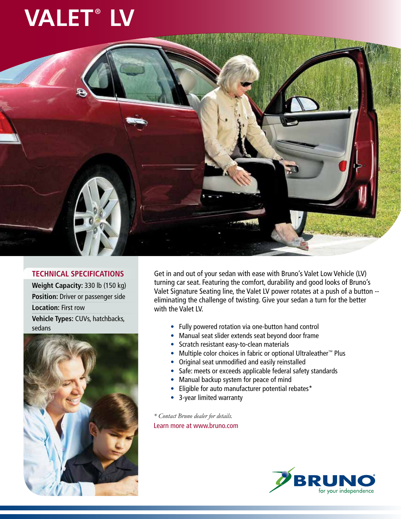## **VALET<sup>®</sup> LV**



## **TECHNICAL SPECIFICATIONS**

**Weight Capacity:** 330 lb (150 kg) **Position:** Driver or passenger side **Location:** First row **Vehicle Types:** CUVs, hatchbacks, sedans



Get in and out of your sedan with ease with Bruno's Valet Low Vehicle (LV) turning car seat. Featuring the comfort, durability and good looks of Bruno's Valet Signature Seating line, the Valet LV power rotates at a push of a button - eliminating the challenge of twisting. Give your sedan a turn for the better with the Valet LV.

- Fully powered rotation via one-button hand control
- Manual seat slider extends seat beyond door frame
- Scratch resistant easy-to-clean materials
- Multiple color choices in fabric or optional Ultraleather™ Plus
- Original seat unmodified and easily reinstalled
- Safe: meets or exceeds applicable federal safety standards
- Manual backup system for peace of mind
- Eligible for auto manufacturer potential rebates\*
- 3-year limited warranty

*\* Contact Bruno dealer for details.* Learn more at www.bruno.com